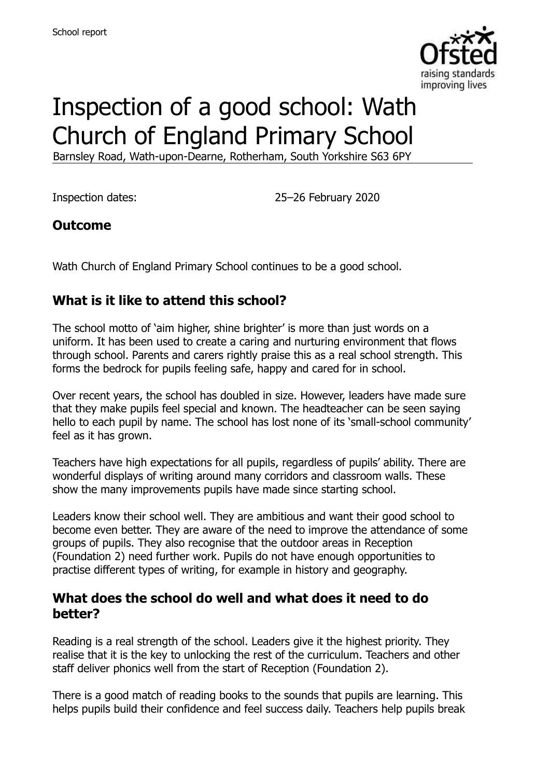

# Inspection of a good school: Wath Church of England Primary School

Barnsley Road, Wath-upon-Dearne, Rotherham, South Yorkshire S63 6PY

Inspection dates: 25–26 February 2020

## **Outcome**

Wath Church of England Primary School continues to be a good school.

# **What is it like to attend this school?**

The school motto of 'aim higher, shine brighter' is more than just words on a uniform. It has been used to create a caring and nurturing environment that flows through school. Parents and carers rightly praise this as a real school strength. This forms the bedrock for pupils feeling safe, happy and cared for in school.

Over recent years, the school has doubled in size. However, leaders have made sure that they make pupils feel special and known. The headteacher can be seen saying hello to each pupil by name. The school has lost none of its 'small-school community' feel as it has grown.

Teachers have high expectations for all pupils, regardless of pupils' ability. There are wonderful displays of writing around many corridors and classroom walls. These show the many improvements pupils have made since starting school.

Leaders know their school well. They are ambitious and want their good school to become even better. They are aware of the need to improve the attendance of some groups of pupils. They also recognise that the outdoor areas in Reception (Foundation 2) need further work. Pupils do not have enough opportunities to practise different types of writing, for example in history and geography.

#### **What does the school do well and what does it need to do better?**

Reading is a real strength of the school. Leaders give it the highest priority. They realise that it is the key to unlocking the rest of the curriculum. Teachers and other staff deliver phonics well from the start of Reception (Foundation 2).

There is a good match of reading books to the sounds that pupils are learning. This helps pupils build their confidence and feel success daily. Teachers help pupils break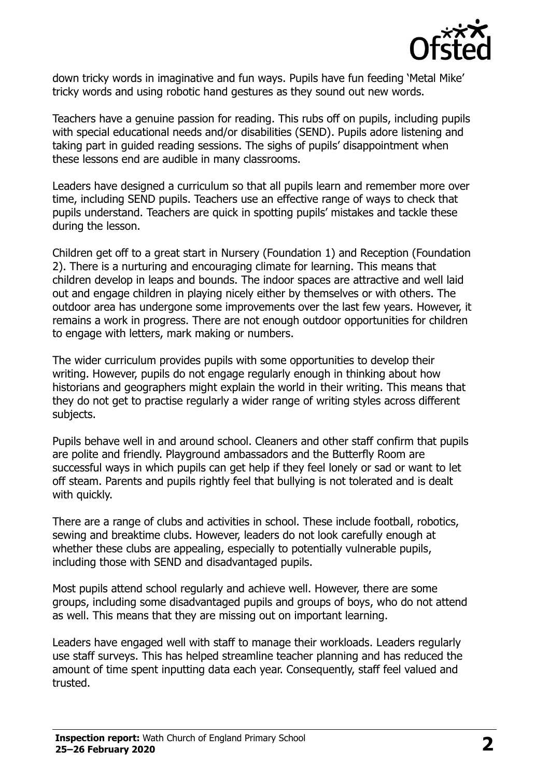

down tricky words in imaginative and fun ways. Pupils have fun feeding 'Metal Mike' tricky words and using robotic hand gestures as they sound out new words.

Teachers have a genuine passion for reading. This rubs off on pupils, including pupils with special educational needs and/or disabilities (SEND). Pupils adore listening and taking part in guided reading sessions. The sighs of pupils' disappointment when these lessons end are audible in many classrooms.

Leaders have designed a curriculum so that all pupils learn and remember more over time, including SEND pupils. Teachers use an effective range of ways to check that pupils understand. Teachers are quick in spotting pupils' mistakes and tackle these during the lesson.

Children get off to a great start in Nursery (Foundation 1) and Reception (Foundation 2). There is a nurturing and encouraging climate for learning. This means that children develop in leaps and bounds. The indoor spaces are attractive and well laid out and engage children in playing nicely either by themselves or with others. The outdoor area has undergone some improvements over the last few years. However, it remains a work in progress. There are not enough outdoor opportunities for children to engage with letters, mark making or numbers.

The wider curriculum provides pupils with some opportunities to develop their writing. However, pupils do not engage regularly enough in thinking about how historians and geographers might explain the world in their writing. This means that they do not get to practise regularly a wider range of writing styles across different subjects.

Pupils behave well in and around school. Cleaners and other staff confirm that pupils are polite and friendly. Playground ambassadors and the Butterfly Room are successful ways in which pupils can get help if they feel lonely or sad or want to let off steam. Parents and pupils rightly feel that bullying is not tolerated and is dealt with quickly.

There are a range of clubs and activities in school. These include football, robotics, sewing and breaktime clubs. However, leaders do not look carefully enough at whether these clubs are appealing, especially to potentially vulnerable pupils, including those with SEND and disadvantaged pupils.

Most pupils attend school regularly and achieve well. However, there are some groups, including some disadvantaged pupils and groups of boys, who do not attend as well. This means that they are missing out on important learning.

Leaders have engaged well with staff to manage their workloads. Leaders regularly use staff surveys. This has helped streamline teacher planning and has reduced the amount of time spent inputting data each year. Consequently, staff feel valued and trusted.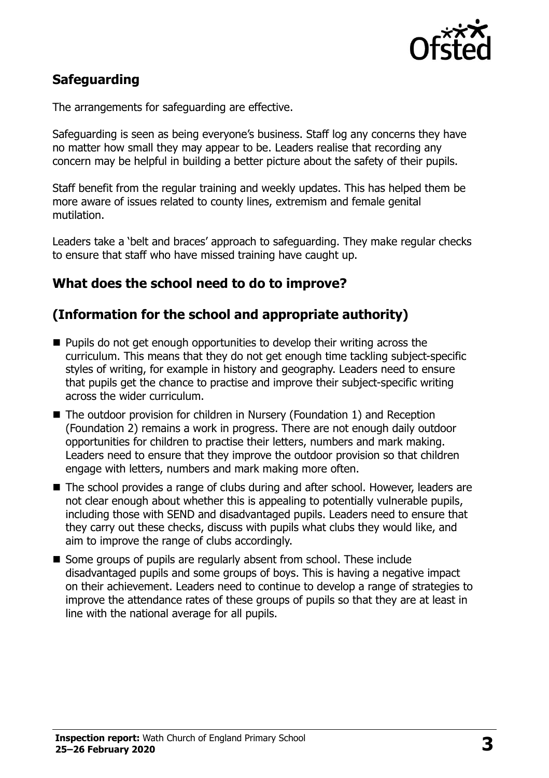

# **Safeguarding**

The arrangements for safeguarding are effective.

Safeguarding is seen as being everyone's business. Staff log any concerns they have no matter how small they may appear to be. Leaders realise that recording any concern may be helpful in building a better picture about the safety of their pupils.

Staff benefit from the regular training and weekly updates. This has helped them be more aware of issues related to county lines, extremism and female genital mutilation.

Leaders take a 'belt and braces' approach to safeguarding. They make regular checks to ensure that staff who have missed training have caught up.

## **What does the school need to do to improve?**

#### **(Information for the school and appropriate authority)**

- Pupils do not get enough opportunities to develop their writing across the curriculum. This means that they do not get enough time tackling subject-specific styles of writing, for example in history and geography. Leaders need to ensure that pupils get the chance to practise and improve their subject-specific writing across the wider curriculum.
- The outdoor provision for children in Nursery (Foundation 1) and Reception (Foundation 2) remains a work in progress. There are not enough daily outdoor opportunities for children to practise their letters, numbers and mark making. Leaders need to ensure that they improve the outdoor provision so that children engage with letters, numbers and mark making more often.
- The school provides a range of clubs during and after school. However, leaders are not clear enough about whether this is appealing to potentially vulnerable pupils, including those with SEND and disadvantaged pupils. Leaders need to ensure that they carry out these checks, discuss with pupils what clubs they would like, and aim to improve the range of clubs accordingly.
- Some groups of pupils are regularly absent from school. These include disadvantaged pupils and some groups of boys. This is having a negative impact on their achievement. Leaders need to continue to develop a range of strategies to improve the attendance rates of these groups of pupils so that they are at least in line with the national average for all pupils.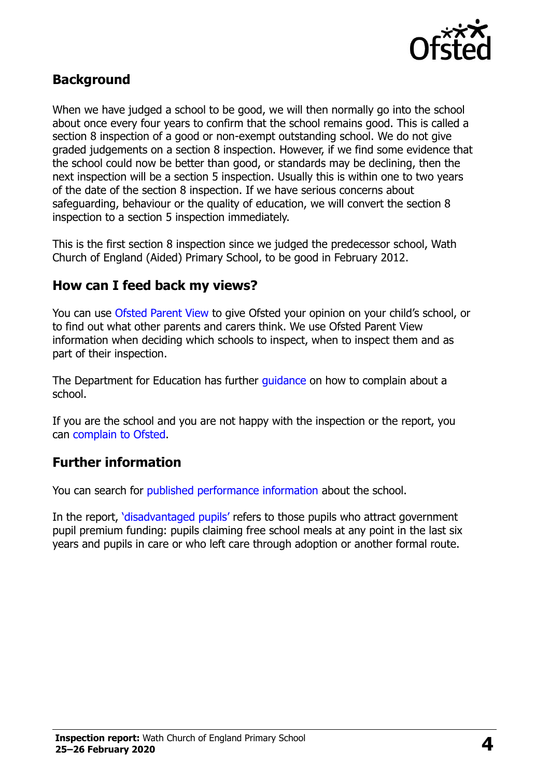

## **Background**

When we have judged a school to be good, we will then normally go into the school about once every four years to confirm that the school remains good. This is called a section 8 inspection of a good or non-exempt outstanding school. We do not give graded judgements on a section 8 inspection. However, if we find some evidence that the school could now be better than good, or standards may be declining, then the next inspection will be a section 5 inspection. Usually this is within one to two years of the date of the section 8 inspection. If we have serious concerns about safeguarding, behaviour or the quality of education, we will convert the section 8 inspection to a section 5 inspection immediately.

This is the first section 8 inspection since we judged the predecessor school, Wath Church of England (Aided) Primary School, to be good in February 2012.

#### **How can I feed back my views?**

You can use [Ofsted Parent View](https://parentview.ofsted.gov.uk/) to give Ofsted your opinion on your child's school, or to find out what other parents and carers think. We use Ofsted Parent View information when deciding which schools to inspect, when to inspect them and as part of their inspection.

The Department for Education has further quidance on how to complain about a school.

If you are the school and you are not happy with the inspection or the report, you can [complain to Ofsted.](https://www.gov.uk/complain-ofsted-report)

#### **Further information**

You can search for [published performance information](http://www.compare-school-performance.service.gov.uk/) about the school.

In the report, '[disadvantaged pupils](http://www.gov.uk/guidance/pupil-premium-information-for-schools-and-alternative-provision-settings)' refers to those pupils who attract government pupil premium funding: pupils claiming free school meals at any point in the last six years and pupils in care or who left care through adoption or another formal route.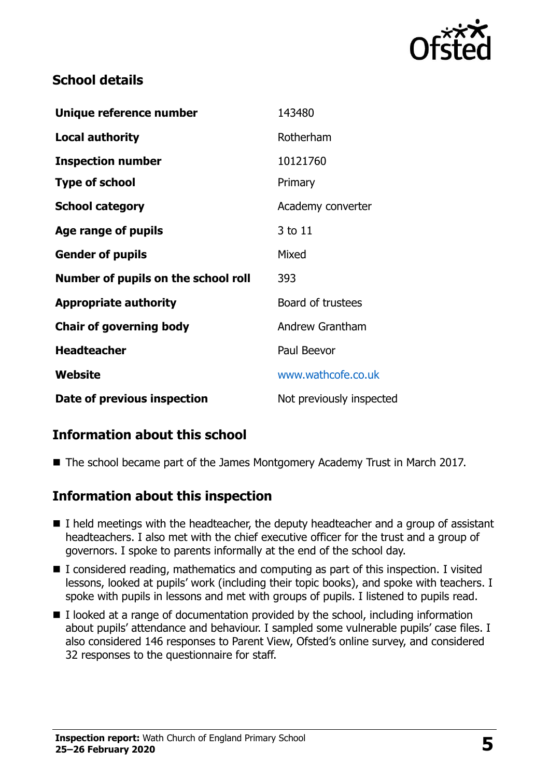

# **School details**

| Unique reference number             | 143480                   |
|-------------------------------------|--------------------------|
| <b>Local authority</b>              | Rotherham                |
| <b>Inspection number</b>            | 10121760                 |
| <b>Type of school</b>               | Primary                  |
| <b>School category</b>              | Academy converter        |
| Age range of pupils                 | 3 to 11                  |
| <b>Gender of pupils</b>             | Mixed                    |
| Number of pupils on the school roll | 393                      |
| <b>Appropriate authority</b>        | Board of trustees        |
| <b>Chair of governing body</b>      | <b>Andrew Grantham</b>   |
| <b>Headteacher</b>                  | Paul Beevor              |
| Website                             | www.wathcofe.co.uk       |
| Date of previous inspection         | Not previously inspected |

# **Information about this school**

■ The school became part of the James Montgomery Academy Trust in March 2017.

## **Information about this inspection**

- $\blacksquare$  I held meetings with the headteacher, the deputy headteacher and a group of assistant headteachers. I also met with the chief executive officer for the trust and a group of governors. I spoke to parents informally at the end of the school day.
- $\blacksquare$  I considered reading, mathematics and computing as part of this inspection. I visited lessons, looked at pupils' work (including their topic books), and spoke with teachers. I spoke with pupils in lessons and met with groups of pupils. I listened to pupils read.
- $\blacksquare$  I looked at a range of documentation provided by the school, including information about pupils' attendance and behaviour. I sampled some vulnerable pupils' case files. I also considered 146 responses to Parent View, Ofsted's online survey, and considered 32 responses to the questionnaire for staff.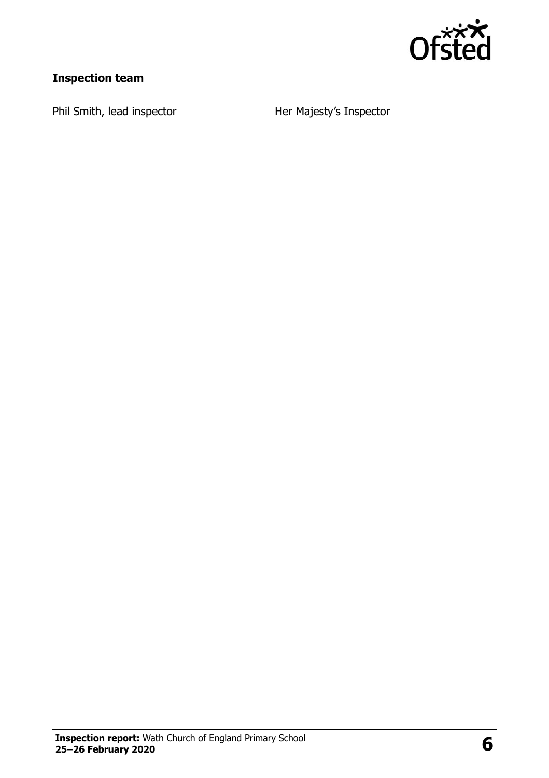

# **Inspection team**

Phil Smith, lead inspector **Her Majesty's Inspector**